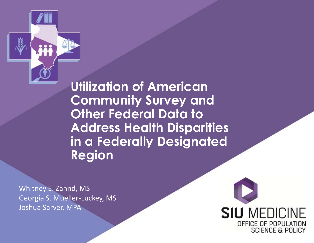

**Utilization of American Community Survey and Other Federal Data to Address Health Disparities in a Federally Designated Region**

Whitney E. Zahnd, MS Georgia S. Mueller-Luckey, MS Joshua Sarver, MPA

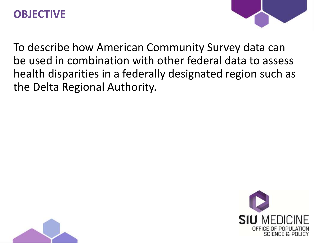#### **OBJECTIVE**



To describe how American Community Survey data can be used in combination with other federal data to assess health disparities in a federally designated region such as the Delta Regional Authority.



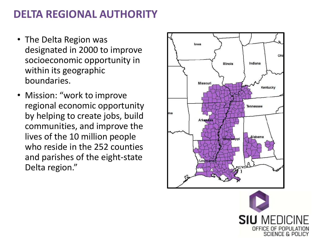## **DELTA REGIONAL AUTHORITY**

- The Delta Region was designated in 2000 to improve socioeconomic opportunity in within its geographic boundaries.
- Mission: "work to improve regional economic opportunity by helping to create jobs, build communities, and improve the lives of the 10 million people who reside in the 252 counties and parishes of the eight-state Delta region."



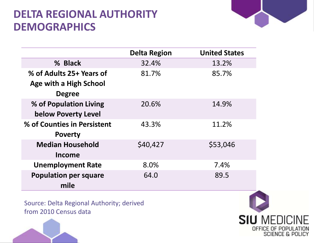### **DELTA REGIONAL AUTHORITY DEMOGRAPHICS**



|                               | <b>Delta Region</b> | <b>United States</b> |
|-------------------------------|---------------------|----------------------|
| % Black                       | 32.4%               | 13.2%                |
| % of Adults 25+ Years of      | 81.7%               | 85.7%                |
| <b>Age with a High School</b> |                     |                      |
| <b>Degree</b>                 |                     |                      |
| % of Population Living        | 20.6%               | 14.9%                |
| <b>below Poverty Level</b>    |                     |                      |
| % of Counties in Persistent   | 43.3%               | 11.2%                |
| <b>Poverty</b>                |                     |                      |
| <b>Median Household</b>       | \$40,427            | \$53,046             |
| Income                        |                     |                      |
| <b>Unemployment Rate</b>      | 8.0%                | 7.4%                 |
| <b>Population per square</b>  | 64.0                | 89.5                 |
| mile                          |                     |                      |

Source: Delta Regional Authority; derived from 2010 Census data



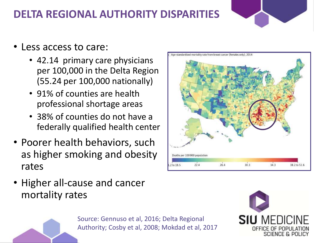# **DELTA REGIONAL AUTHORITY DISPARITIES**



- Less access to care:
	- 42.14 primary care physicians per 100,000 in the Delta Region (55.24 per 100,000 nationally)
	- 91% of counties are health professional shortage areas
	- 38% of counties do not have a federally qualified health center
- Poorer health behaviors, such as higher smoking and obesity rates







Source: Gennuso et al, 2016; Delta Regional Authority; Cosby et al, 2008; Mokdad et al, 2017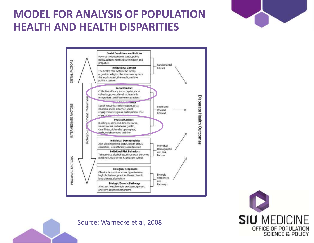#### **MODEL FOR ANALYSIS OF POPULATION HEALTH AND HEALTH DISPARITIES**







Source: Warnecke et al, 2008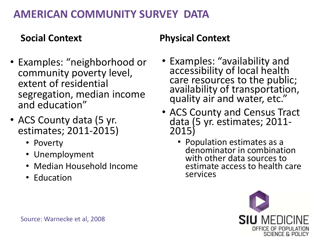### **AMERICAN COMMUNITY SURVEY DATA**

#### **Social Context**

- Examples: "neighborhood or community poverty level, extent of residential segregation, median income and education"
- ACS County data (5 yr. estimates; 2011-2015)
	- Poverty
	- Unemployment
	- Median Household Income
	- Education

#### **Physical Context**

- Examples: "availability and accessibility of local health care resources to the public; availability of transportation, quality air and water, etc."
- ACS County and Census Tract data (5 yr. estimates; 2011- 2015)
	- Population estimates as a denominator in combination with other data sources to estimate access to health care services

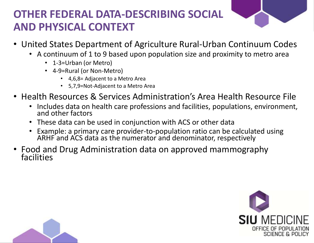# **OTHER FEDERAL DATA-DESCRIBING SOCIAL AND PHYSICAL CONTEXT**



- United States Department of Agriculture Rural-Urban Continuum Codes
	- A continuum of 1 to 9 based upon population size and proximity to metro area
		- 1-3=Urban (or Metro)
		- 4-9=Rural (or Non-Metro)
			- 4,6,8= Adjacent to a Metro Area
			- 5,7,9=Not-Adjacent to a Metro Area
- Health Resources & Services Administration's Area Health Resource File
	- Includes data on health care professions and facilities, populations, environment, and other factors
	- These data can be used in conjunction with ACS or other data
	- Example: a primary care provider-to-population ratio can be calculated using ARHF and ACS data as the numerator and denominator, respectively
- Food and Drug Administration data on approved mammography facilities



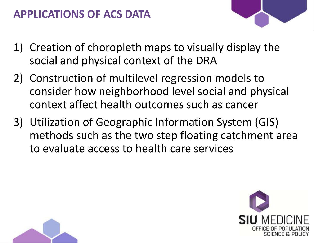## **APPLICATIONS OF ACS DATA**

- 
- 1) Creation of choropleth maps to visually display the social and physical context of the DRA
- 2) Construction of multilevel regression models to consider how neighborhood level social and physical context affect health outcomes such as cancer
- 3) Utilization of Geographic Information System (GIS) methods such as the two step floating catchment area to evaluate access to health care services



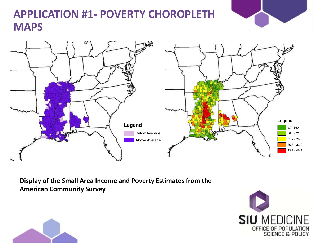

## **APPLICATION #1- POVERTY CHOROPLETH MAPS**



**Display of the Small Area Income and Poverty Estimates from the American Community Survey** 



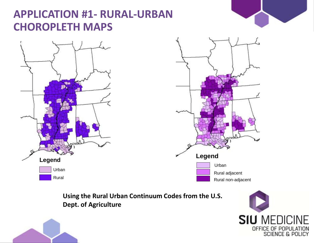#### **APPLICATION #1- RURAL-URBAN CHOROPLETH MAPS**







**Using the Rural Urban Continuum Codes from the U.S. Dept. of Agriculture** 



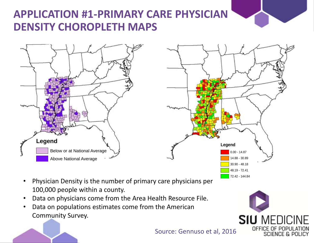# **APPLICATION #1-PRIMARY CARE PHYSICIAN DENSITY CHOROPLETH MAPS**





- Physician Density is the number of primary care physicians per 100,000 people within a county.
- Data on physicians come from the Area Health Resource File.
- Data on populations estimates come from the American Community Survey.



Source: Gennuso et al, 2016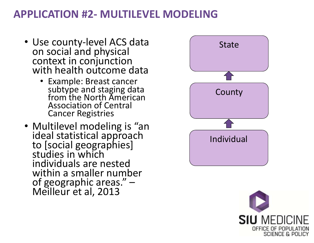#### **APPLICATION #2- MULTILEVEL MODELING**

- Use county-level ACS data on social and physical context in conjunction with health outcome data
	- Example: Breast cancer subtype and staging data from the North American Association of Central Cancer Registries
- Multilevel modeling is "an ideal statistical approach to [social geographies] studies in which individuals are nested within a smaller number of geographic areas." – Meilleur et al, 2013



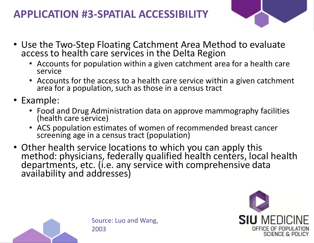## **APPLICATION #3-SPATIAL ACCESSIBILITY**



- Use the Two-Step Floating Catchment Area Method to evaluate access to health care services in the Delta Region
	- Accounts for population within a given catchment area for a health care service
	- Accounts for the access to a health care service within a given catchment area for a population, such as those in a census tract
- Example:
	- Food and Drug Administration data on approve mammography facilities (health care service)
	- ACS population estimates of women of recommended breast cancer screening age in a census tract (population)
- Other health service locations to which you can apply this method: physicians, federally qualified health centers, local health departments, etc. (i.e. any service with comprehensive data availability and addresses)



Source: Luo and Wang, 2003

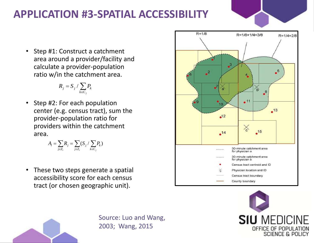# **APPLICATION #3-SPATIAL ACCESSIBILITY**

• Step #1: Construct a catchment area around a provider/facility and calculate a provider-population ratio w/in the catchment area.

$$
R_j = S_j \, / \sum_{k \in C_j} P_k
$$

• Step #2: For each population center (e.g. census tract), sum the provider-population ratio for providers within the catchment area.

$$
A_i = \sum_{j \in Z_i} R_j = \sum_{j \in Z_i} (S_j / \sum_{k \in C_j} P_k)
$$

• These two steps generate a spatial accessibility score for each census tract (or chosen geographic unit).





Source: Luo and Wang, 2003; Wang, 2015

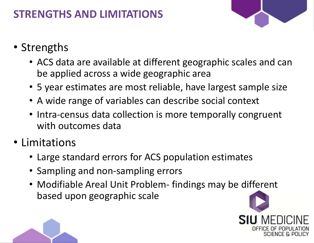# **STRENGTHS AND LIMITATIONS**

- Strengths
	- ACS data are available at different geographic scales and can be applied across a wide geographic area
	- 5 year estimates are most reliable, have largest sample size
	- A wide range of variables can describe social context
	- Intra-census data collection is more temporally congruent with outcomes data
- Limitations
	- Large standard errors for ACS population estimates
	- Sampling and non-sampling errors
	- Modifiable Areal Unit Problem- findings may be different based upon geographic scale



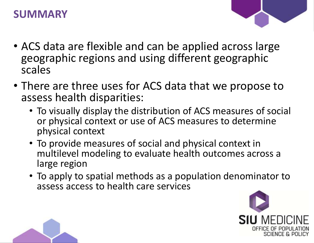#### **SUMMARY**



- ACS data are flexible and can be applied across large geographic regions and using different geographic scales
- There are three uses for ACS data that we propose to assess health disparities:
	- To visually display the distribution of ACS measures of social or physical context or use of ACS measures to determine physical context
	- To provide measures of social and physical context in multilevel modeling to evaluate health outcomes across a large region
	- To apply to spatial methods as a population denominator to assess access to health care services



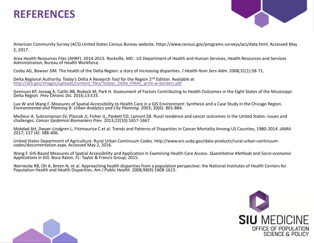#### **REFERENCES**



American Community Survey (ACS).United States Census Bureau website. https://www.census.gov/programs-surveys/acs/data.html. Accessed May 2, 2017.

Area Health Resources Files (AHRF). 2014-2015. Rockville, MD.: US Department of Health and Human Services, Health Resources and Services Administration, Bureau of Health Workforce.

Cosby AG, Bowser DM. The health of the Delta Region: a story of increasing disparities. *J Health Hum Serv Adm*. 2008;31(1):58-71.

Delta Regional Authority. Today's Delta A Research Tool for the Region 2<sup>nd</sup> Edition. Available at [http://dra.gov/images/uploads/content\\_files/Todays\\_Delta\\_FINAL\\_print-w-borders.pdf](http://dra.gov/images/uploads/content_files/Todays_Delta_FINAL_print-w-borders.pdf)

Gennuso KP, Jovaag A, Catlin BB, Rodock M, Park H. Assessment of Factors Contributing to Health Outcomes in the Eight States of the Mississippi Delta Region. *Prev Chronic Dis.* 2016;13:E33.

Luo W and Wang F. Measures of Spatial Accessibility to Health Care in a GIS Environment: Synthesis and a Case Study in the Chicago Region. *Environmental and Planning B: Urban Analytics and City Planning*. 2003; 30(6): 865-884.

Meilleur A, Subramanian SV, Plascak JJ, Fisher JL, Paskett ED, Lamont EB. Rural residence and cancer outcomes in the United States: issues and challenges. *Cancer Epidemiol Biomarkers Prev*. 2013;22(10):1657-1667.

Mokdad AH, Dwyer-Lindgren L, Fitzmaurice C et al. Trends and Patterns of Disparities in Cancer Mortality Among US Counties, 1980-2014. *JAMA*. 2017; 137 (4): 388-406.

United States Department of Agriculture. Rural Urban Continuum Codes. http://www.ers.usda.gov/data-products/rural-urban-continuumcodes/documentation.aspx. Accessed May 2, 2016.

Wang F. GIS-Based Measures of Spatial Accessibility and Application in Examining Health Care Access. *Quantitative Methods and Socio-economic Applications in GIS.* Boca Raton, FL: Taylor & Francis Group; 2015.

Warnecke RB, Oh A, Breen N, et al. Approaching health disparities from a population perspective: the National Institutes of Health Centers for Population Health and Health Disparities. *Am J Public Health.* 2008;98(9):1608-1615.